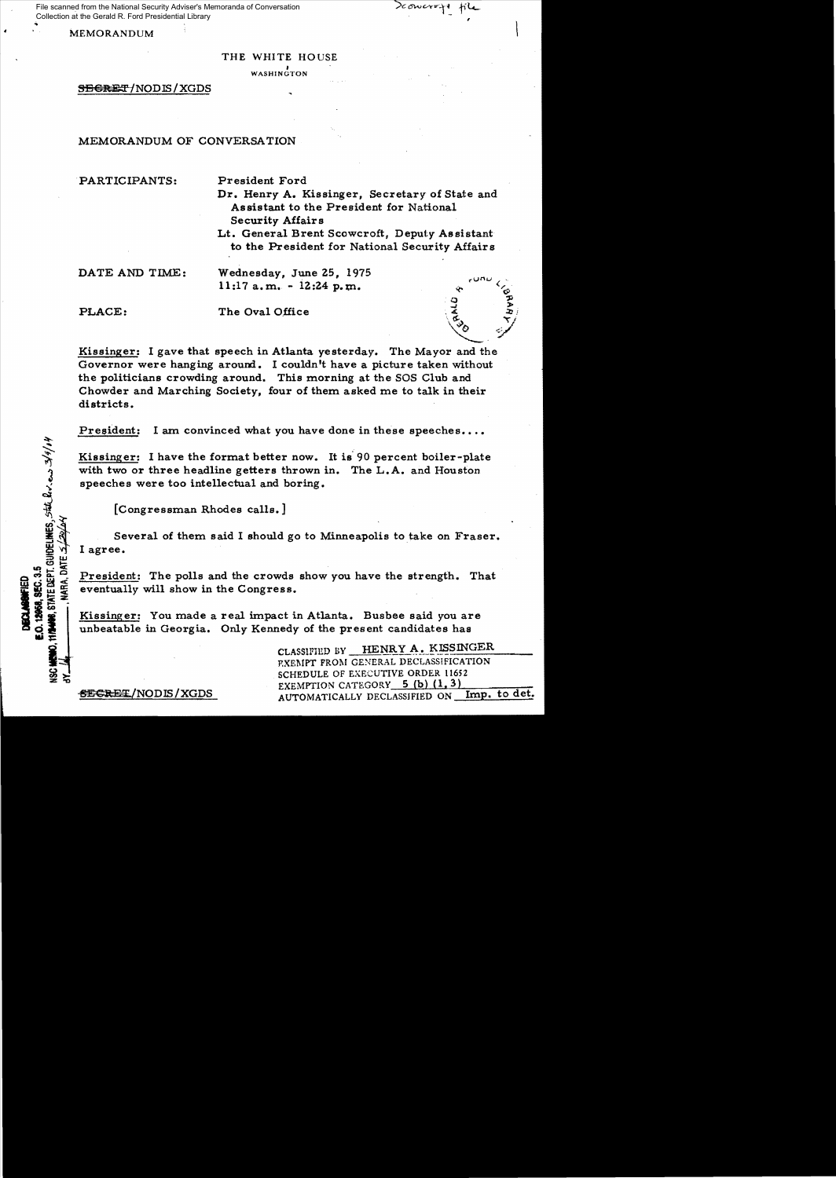File scanned from the National Security Adviser's Memoranda of Conversation Collection at the Gerald R. Ford Presidential Library

MEMORANDUM

 $_{\rm v}$ un $_{\rm v}$ 

o .,:l *-J* ,..

\~tS-.;>", ..../ *<sup>v</sup>*¢/ .,

′¢≎

THE WHITE HOUSE

f WASHINGTON

SEGRET/NODIS/XGDS

## MEMORANDUM OF CONVERSATION

,PARTICIPANTS: President Ford

Dr. Henry A. Kissinger, Secretary of State and Assistant to the President for National Security Affairs

Lt. General Brent Scowcroft, Deputy Assistant to the President for National Security Affairs

DATE AND TIME: Wednesday, June 25, 1975  $11:17$  a.m. -  $12:24$  p.m.

STATE DEPT. GUIDELINES, STATE RIV.es 3/9/01

**SEC.35** 

VARA. DATE.

PLACE: The Oval Office

Kissinger: I gave that speech in Atlanta yesterday. The Mayor and the Governor were hanging around. I couldn't have a picture taken without the politicians crowding around. This morning at the SOS Club and Chowder and Marching Society, four of them asked me to talk in their districts.

President: I am convinced what you have done in these speeches....

Kissinger: I have the format better now. It is' 90 percent boiler-plate with two or three headline getters thrown in. The L.A. and Houston speeches were too intellectual and boring.

[Congressman Rhodes calls.]

Several of them said I should go to Minneapolis to take on Fraser. I agree.

President: The polls and the crowds show you have the strength. That eventually will show in the Congress.

Kissinger: You made a real impact in Atlanta. Busbee said you are unbeatable in Georgia. Only Kennedy of the present candidates has

CLASSIFIED BY HENRY A. KISSINGER P.XEMPT FROM GENERAL DECLASSIFICATION SCHEDULE OF EXECUTIVE ORDER 11652 EXEMPTION CATEGORY 5 (b) (1, 3)<br>AUTOMATICALLY DECLASSIFIED ON Imp. to det.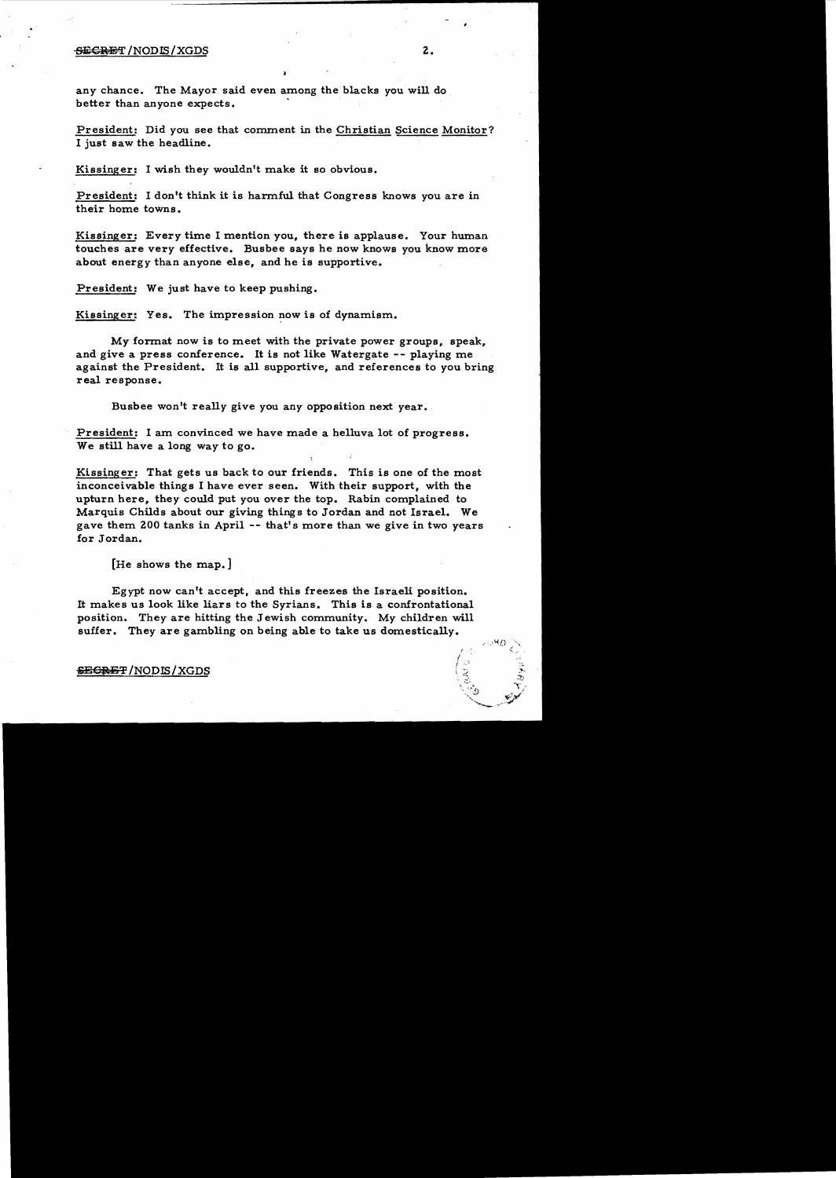## $\overline{\text{SE}}$ CRET</del> /NODIS/XGDS  $2$  .

any chance. The Mayor said even among the blacks you will do . better than anyone expects.

President: Did you see that comment in the Christian Science Monitor? I just saw the headline.

Kissinger: I wish they wouldn't make it so obvious.

President: I don't think it is harmful that Congress knows you are in their home towns.

Kissinger: Every time I mention you, there is applause. Your human touches are very effective. Busbee says he now knows you know more about energy than anyone else, and he is supportive.

President: We just have to keep pushing.

Kissinger: Yes. The impression now is of dynamism.

My format now is to meet with the private power groups, speak, and give a press conference. It is not like Watergate -- playing me against the President. It is all supportive, and references to you bring real response.

Busbee won't really give you any opposition next year.

President: I am convinced we have made a helluva lot of progress. We still have a long way to go.

Kissinger: That gets us back to our friends. This is one of the most inconceivable things I have ever seen. With their support, with the upturn here, they could put you over the top. Rabin complained to Marquis Childs about our giving things to Jordan and not Israel. We gave them 200 tanks in April -- that's more than we give in two years for Jordan.

[He shows the map. ]

Egypt now can't accept, and this freezes the Israeli position. It makes us look like liars to the Syrians. This is a confrontational position. They are hitting the Jewish community. My children will suffer. They are gambling on being able to take us domestically.

 $\overline{\text{SEGREF}}$  / NODIS / XGDS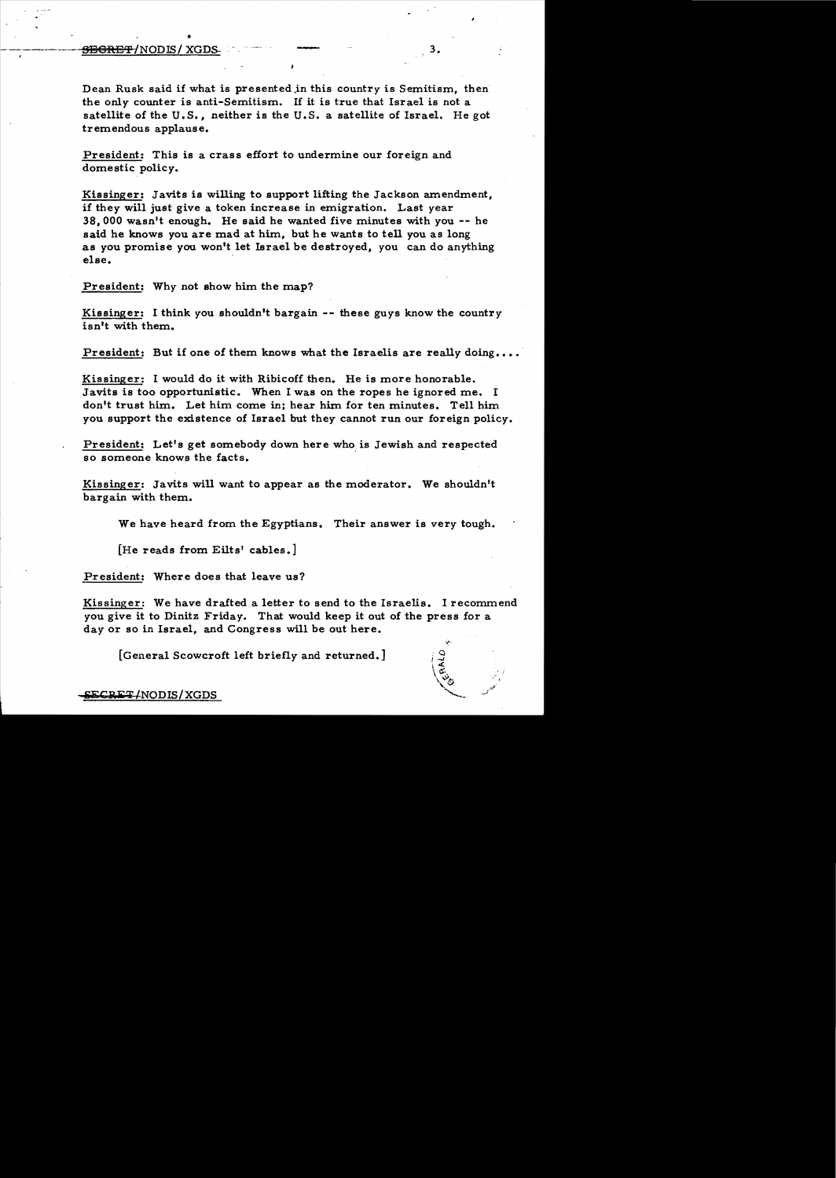## SE€JaET/NODJS/ XGDS- , 3.

•

Dean Rusk said if what is presented in this country is Semitism, then the only counter is anti-Semitism. If it is true that Israel is not a satellite of the U.S., neither is the U.S. a satellite of Israel. He got tremendous applause.

President: This is a crass effort to undermine our foreign and domestic policy.

Kissinger: Javits is willing to support lifting the Jackson amendment, if they will just give a token increase in emigration. Last year 38,000 wasn't enough. He said he wanted five minutes with you -- he said he knows you are mad at him, but he wants to tell you as long as you promise you won't let Israel be destroyed, you can do anything else. .

President: Why not show him the map?

Kissinger: I think you shouldn't bargain -- these guys know the country isn't with them.

President: But if one of them knows what the Israelis are really doing....

Kissinger: I would do it with Ribicoff then. He is more honorable. Javits is too opportunistic. When I was on the ropes he ignored me. I don't trust him. Let him come in; hear him for ten minutes. Tell him you support the existence of Israel but they cannot run our foreign policy.

President: Let's get somebody down here who is Jewish and respected so someone knows the facts.

Kissinger: Javits will want to appear as the moderator. We shouldn't bargain with them.

We have heard from the Egyptians. Their answer is very tough.

[He reads from Eilts' cables.]

President: Where does that leave us?

Kissinger: We have drafted a letter to send to the Israelis. I recommend you give it to Dinitz Friday. That would keep it out of the press for a day or so in Israel, and Congress will be out here.

[General Scowcroft left briefly and returned.]

ECRET/NODIS/XGDS

 $\mathbb{R}^N$  .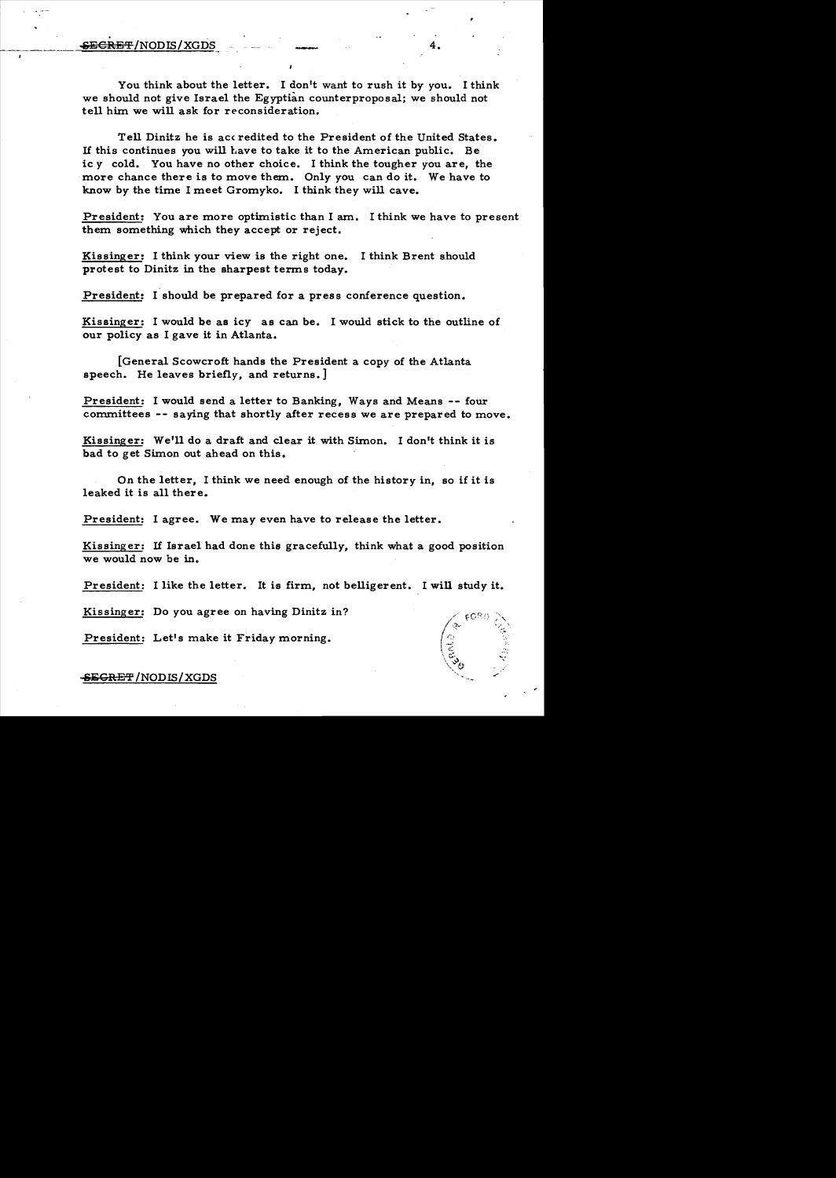## **SECRET/NODIS/XGDS 4.**

You think about the letter. I don't want to rush it by you. I think we should not give Israel the Egyptian counterproposal; we should not tell him we will ask for reconsideration.

Tell Dinitz he is accredited to the President of the United States. If this continues you will have to take it to the American public. Be ic y cold. You have no other choice. I think the tougher you are, the more chance there is to move them. Only you can do it. We have to know by the time I meet Gromyko. I think they will cave.

President: You are more optimistic than I am. I think we have to present them something which they accept or reject.

Kissinger: I think your view is the right one. I think Brent should protest to Dinitz in the sharpest terms today.

President: I should be prepared for a press conference question.

Kissinger: I would be as icy as can be. I would stick to the outline of our policy as I gave it in Atlanta.

[General Scowcroft hands the President a copy of the Atlanta speech. He leaves briefly, and returns.]

President: I would send a letter to Banking, Ways and Means -- four committees -- saying that shortly after recess we are prepared to move.

Kissinger: We'll do a draft and clear it with Simon. I don't think it is bad to get Simon out ahead on this.

On the letter, I think we need enough of the history in, so if it is leaked it is all there.

President: I agree. We may even have to release the letter.

Kissinger: If Israel had done this gracefully, think what a good position we would now be in.

President: I like the letter. It is firm, not belligerent. I will study it.

Kissinger: Do you agree on having Dinitz in?

President: Let's make it Friday morning.

SEGRET/NODIS/XGDS

**CAME**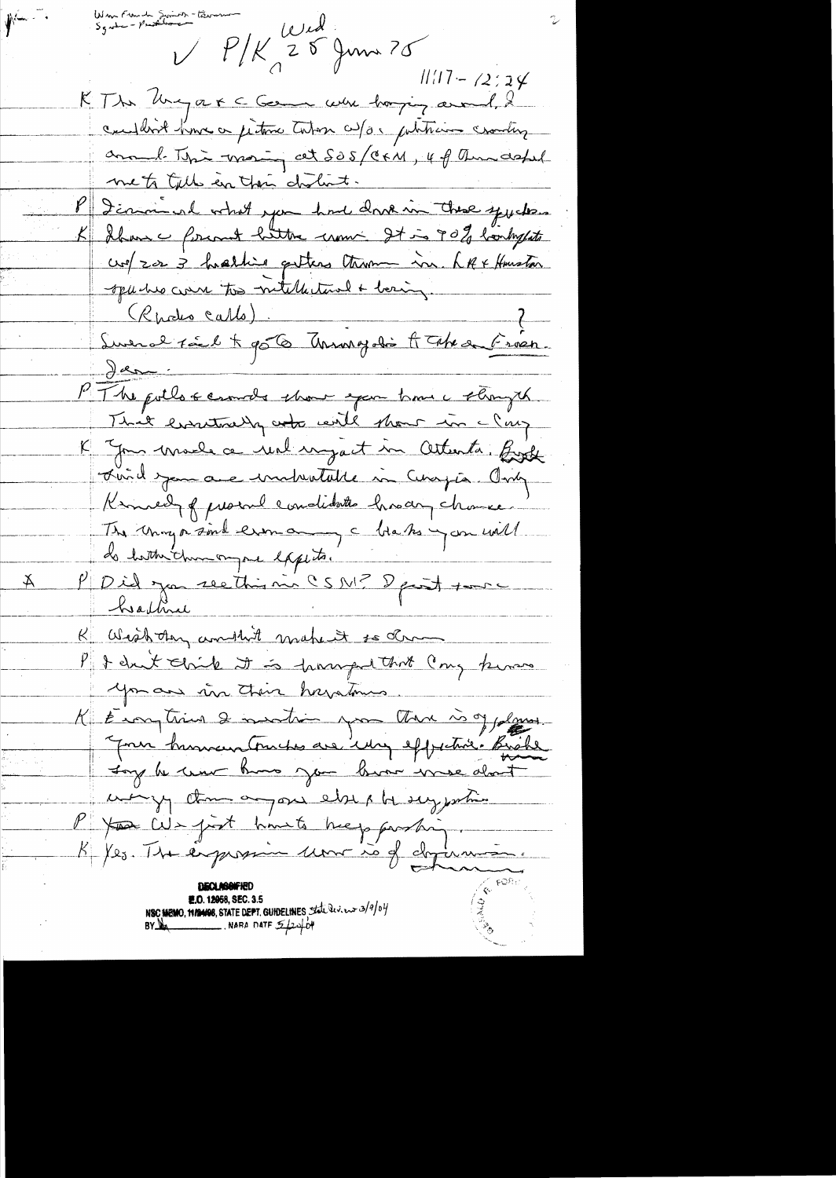Wan Franch Swins - tawar<br>Sgate - Prother  $\mathbf{y}$ PIK 25 Juin 25  $1117 - 72924$ KThe Unigare Cleane were horzing avoid, 2 considered himse or justime tution as/as publicains crowling around This most at 505/CFM, 4 of Amadepul mets till en their cholist. P Icaminal what you had done in these yucken K Iban c formet bitter un It is 90% bondageats cre/2023 hasting getters thrown in LAFFHouston spurise come to mitellectural + being. (Radio Callo) Swerd tal + 956 Anonyalis & Take on Fréen. Jar PT he pollo scenare show exam home i strongth That eventually work will thour in clay K Jon male a rue injact in attents. Birk Lui de jour auce installe in Cinquia Any Kinnedy of prosent conditates hisany chance The Uning or soul eron any c blacks you will do hother than on por expects. PDid jour rection nu CSNP Dpoint source Ă K Wishthy and hit make it to draw .<br>1950 ookstaan - Afrika Amerikaanse kompo I I dunt chile it is parapul that Cong know you are in their havetomes. K Eronytime & montion you there is of plans. Jour human trucks are ing effective. Bushe Joy he we know you have were about we y than a pour else a be sey justice P pour cit just himste hierp partir **E.O. 12958, SEC. 3.5** NSC MEMO, 11/2408, STATE DEPT. GUIDELINES the Review 3/9/04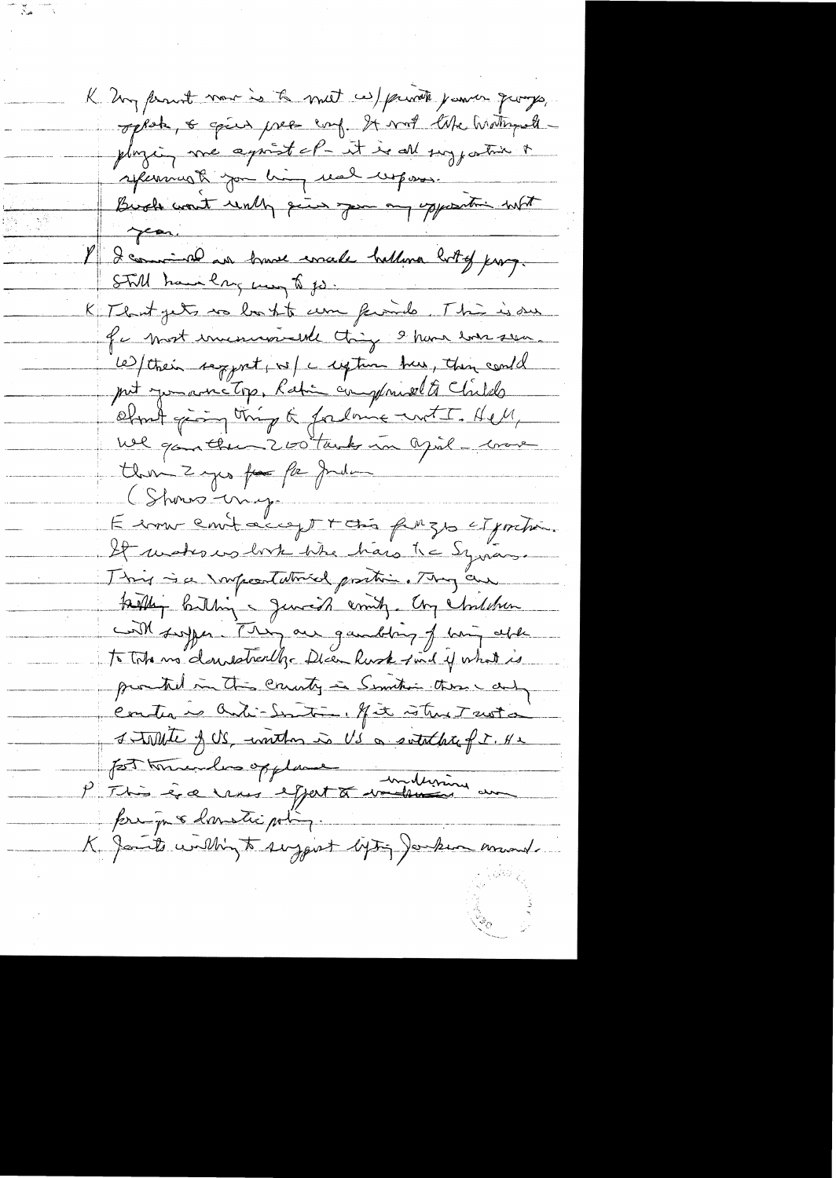K. Un prout nous is to meet as private parmer quango, oppok, & spier pres enf. It was like historyals playing me against of-it is all suggestion of spermark you him use wepose Buch want unly give you any upposition with year. 8 2 comment au brance concele ballina bott of prong. STill have large may to go. K That gets no bort to come famile. This is our for most invescionable thing & have seen led their sequent, is a ception they thing could put you are top. Ratin compared to Childs chant going thing & fordering with Hell We gantle 200 tack in april - 1000 there I yes for the pulmer (Shows-image E comme emit accept + chi puzzo et portion. It wakes us look the hars the Syrians. This is a sonpectativist protion. They are tailly butting general andy. Chy children Coll suppose They are gainting of him able to Total no donnestreather Dicen Rusk find if what is promited in this crucity in Semitivi these cardy Contre à Cati-Sontin, fit strut suita Stalle of US, worthon is US a souththat for. He part toute opplane principa & danstic poling. K Janits within to suggest lyting Janken mand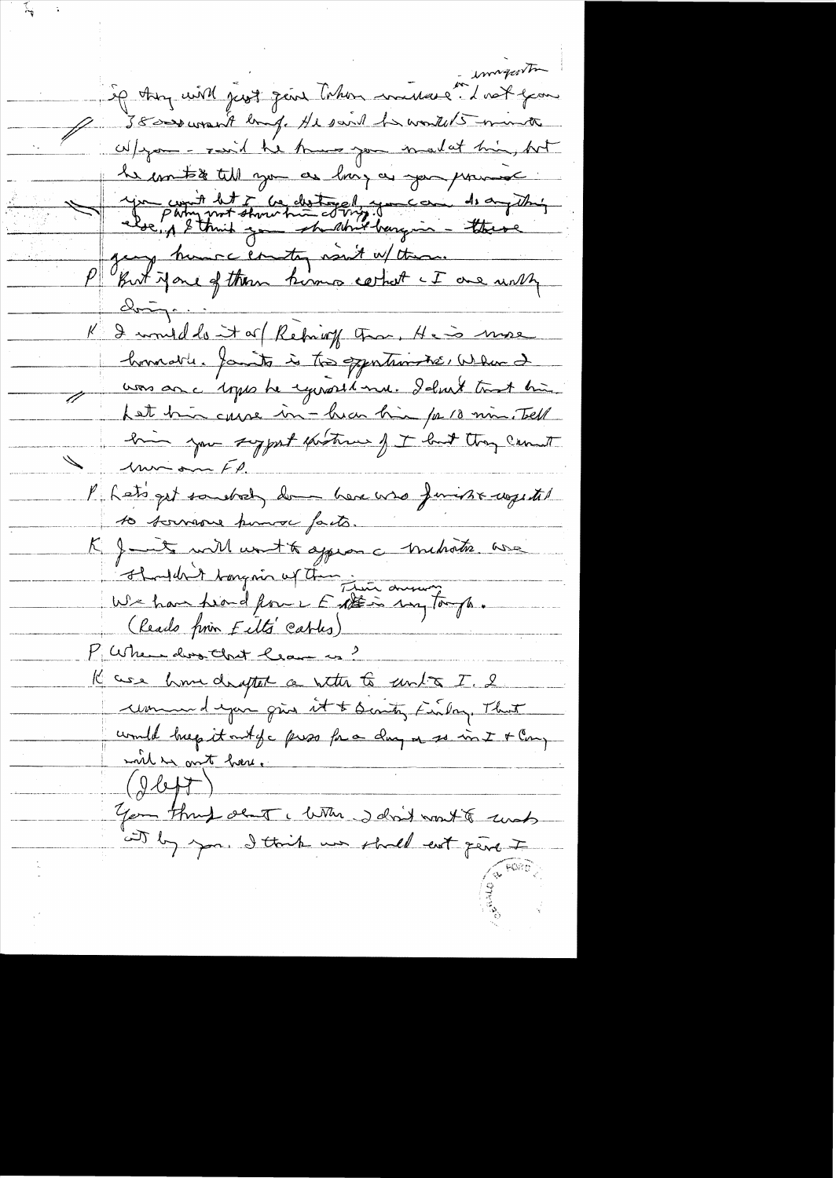imageorta Sig they will just fear Taken mullere." I not you Q 38000 want big He said to wortet mint W/you - raid he know you malat him, hot le motie till you as loing as you primise 1 1 2 comment det à la destine de la de la de la de la filippe de la de la filippe de la de la filippe de la de la filippe de la de la filippe de la de la filippe de la filippe de la filippe de la filippe de la filippe de homastic family is to opportunities when I uns anc 1 pps de couvertime. I dont tout bien hat his cause in - hear his /0 18 min. Tell him jou syget extreme of I lout though count l'hets get soudret, de here was finisse wegetet 10 souveau pouvoi facto. K J int with wort to aggress c trubatie avec (leads from Eits'eables) 19 ase home diagted a netter to unto I. 2 une dépoir que et t sontes finlage That would keep it out of a pros for a day or so in I + Cong will in out here.<br>You through sent , with said wort to conts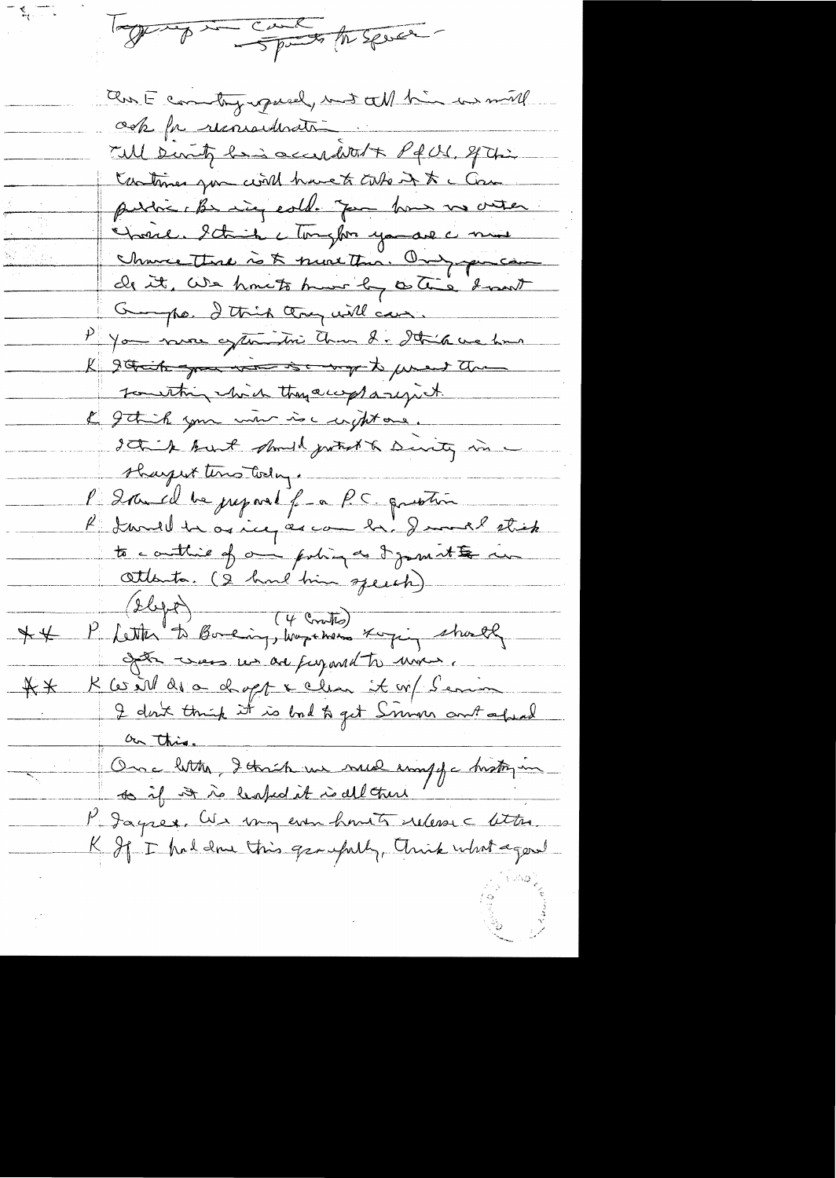Topper of the speak

aux E committy upwell, wit all him in mill ock for reconsideration Till Dinty having accurditor Pf U. St Chi tratines you will have to calle it to Can public be ming cold. Jam how us outer Charle Stick compter you are a mine Chance This is & most This. Only purchase de it, We have to hun by cotic how George I think they will can P you not extention than I . State we have I get it you was so my to prent the touthing with they accept a rejict. I getich your more is comptant. It is but should justicht Durity in sharpert tens today. l'Iran el be preparet fran PC question K I will be as inequene by Jamel strick to conthine of one poling as I joint to we attenta. (2 hour bien speech) P Letter to Bonding, Wapthons Xoying shortly  $+$ after was us are furant to move ... K les vill des a daget & clear it w/ Seria  $A \times$ I don't think it is bolt get Simon ant afraid Ource letter, I think we were emptychistry in Magrex, We my even honts relevance lettre K If I had done this groupelly, Arisk what agonal

 $\overline{\phantom{a}}$ 

 $\frac{1}{2}$